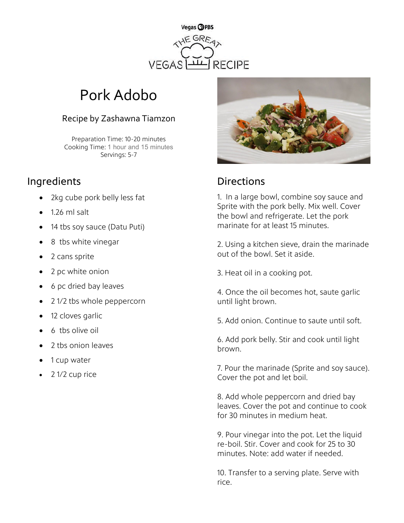

# Pork Adobo

### Recipe by Zashawna Tiamzon

Preparation Time: 10-20 minutes Cooking Time: 1 hour and 15 minutes Servings: 5-7

## Ingredients **Directions**

- 2kg cube pork belly less fat
- 1.26 ml salt
- 14 tbs soy sauce (Datu Puti)
- 8 tbs white vinegar
- 2 cans sprite
- 2 pc white onion
- 6 pc dried bay leaves
- 2 1/2 tbs whole peppercorn
- 12 cloves garlic
- 6 tbs olive oil
- 2 tbs onion leaves
- 1 cup water
- 2 1/2 cup rice



1. In a large bowl, combine soy sauce and Sprite with the pork belly. Mix well. Cover the bowl and refrigerate. Let the pork marinate for at least 15 minutes.

2. Using a kitchen sieve, drain the marinade out of the bowl. Set it aside.

3. Heat oil in a cooking pot.

4. Once the oil becomes hot, saute garlic until light brown.

5. Add onion. Continue to saute until soft.

6. Add pork belly. Stir and cook until light brown.

7. Pour the marinade (Sprite and soy sauce). Cover the pot and let boil.

8. Add whole peppercorn and dried bay leaves. Cover the pot and continue to cook for 30 minutes in medium heat.

9. Pour vinegar into the pot. Let the liquid re-boil. Stir. Cover and cook for 25 to 30 minutes. Note: add water if needed.

10. Transfer to a serving plate. Serve with rice.